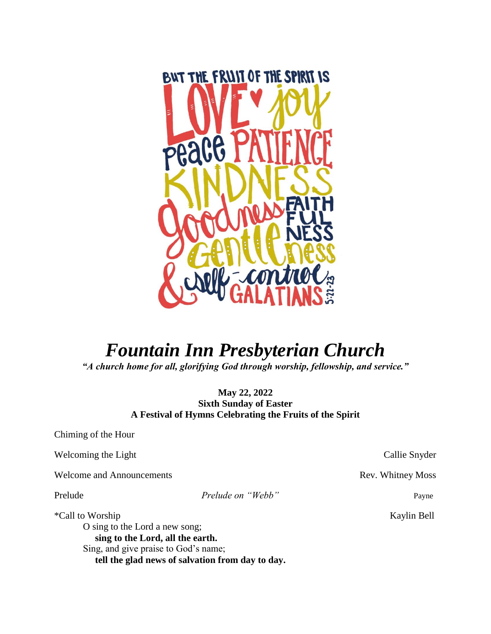

# *Fountain Inn Presbyterian Church*

*"A church home for all, glorifying God through worship, fellowship, and service."*

**May 22, 2022 Sixth Sunday of Easter A Festival of Hymns Celebrating the Fruits of the Spirit** 

| Chiming of the Hour                                                                                                                                                                |                   |                   |
|------------------------------------------------------------------------------------------------------------------------------------------------------------------------------------|-------------------|-------------------|
| Welcoming the Light                                                                                                                                                                |                   | Callie Snyder     |
| <b>Welcome and Announcements</b>                                                                                                                                                   |                   | Rev. Whitney Moss |
| Prelude                                                                                                                                                                            | Prelude on "Webb" | Payne             |
| *Call to Worship<br>O sing to the Lord a new song;<br>sing to the Lord, all the earth.<br>Sing, and give praise to God's name;<br>tell the glad news of salvation from day to day. |                   | Kaylin Bell       |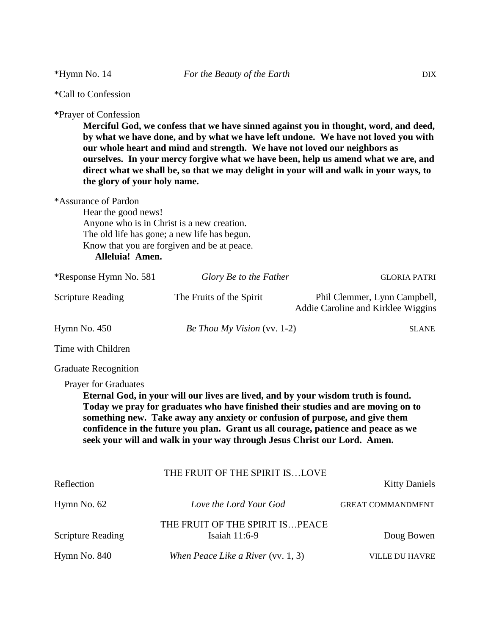\*Call to Confession

\*Prayer of Confession

**Merciful God, we confess that we have sinned against you in thought, word, and deed, by what we have done, and by what we have left undone. We have not loved you with our whole heart and mind and strength. We have not loved our neighbors as ourselves. In your mercy forgive what we have been, help us amend what we are, and direct what we shall be, so that we may delight in your will and walk in your ways, to the glory of your holy name.**

\*Assurance of Pardon

Hear the good news! Anyone who is in Christ is a new creation. The old life has gone; a new life has begun. Know that you are forgiven and be at peace.  **Alleluia! Amen.**

| *Response Hymn No. 581                                                                                                                                                                                                                                                                                                                                                                                                                               | Glory Be to the Father                            | <b>GLORIA PATRI</b>                                                |  |  |  |
|------------------------------------------------------------------------------------------------------------------------------------------------------------------------------------------------------------------------------------------------------------------------------------------------------------------------------------------------------------------------------------------------------------------------------------------------------|---------------------------------------------------|--------------------------------------------------------------------|--|--|--|
| <b>Scripture Reading</b>                                                                                                                                                                                                                                                                                                                                                                                                                             | The Fruits of the Spirit                          | Phil Clemmer, Lynn Campbell,<br>Addie Caroline and Kirklee Wiggins |  |  |  |
| Hymn No. 450                                                                                                                                                                                                                                                                                                                                                                                                                                         | Be Thou My Vision (vv. 1-2)                       | <b>SLANE</b>                                                       |  |  |  |
| Time with Children                                                                                                                                                                                                                                                                                                                                                                                                                                   |                                                   |                                                                    |  |  |  |
| <b>Graduate Recognition</b>                                                                                                                                                                                                                                                                                                                                                                                                                          |                                                   |                                                                    |  |  |  |
| <b>Prayer for Graduates</b><br>Eternal God, in your will our lives are lived, and by your wisdom truth is found.<br>Today we pray for graduates who have finished their studies and are moving on to<br>something new. Take away any anxiety or confusion of purpose, and give them<br>confidence in the future you plan. Grant us all courage, patience and peace as we<br>seek your will and walk in your way through Jesus Christ our Lord. Amen. |                                                   |                                                                    |  |  |  |
| Reflection                                                                                                                                                                                                                                                                                                                                                                                                                                           | THE FRUIT OF THE SPIRIT ISLOVE                    | <b>Kitty Daniels</b>                                               |  |  |  |
|                                                                                                                                                                                                                                                                                                                                                                                                                                                      |                                                   |                                                                    |  |  |  |
| Hymn No. 62                                                                                                                                                                                                                                                                                                                                                                                                                                          | Love the Lord Your God                            | <b>GREAT COMMANDMENT</b>                                           |  |  |  |
| <b>Scripture Reading</b>                                                                                                                                                                                                                                                                                                                                                                                                                             | THE FRUIT OF THE SPIRIT IS PEACE<br>Isaiah 11:6-9 | Doug Bowen                                                         |  |  |  |
| Hymn No. 840                                                                                                                                                                                                                                                                                                                                                                                                                                         | When Peace Like a River (vv. $1, 3$ )             | <b>VILLE DU HAVRE</b>                                              |  |  |  |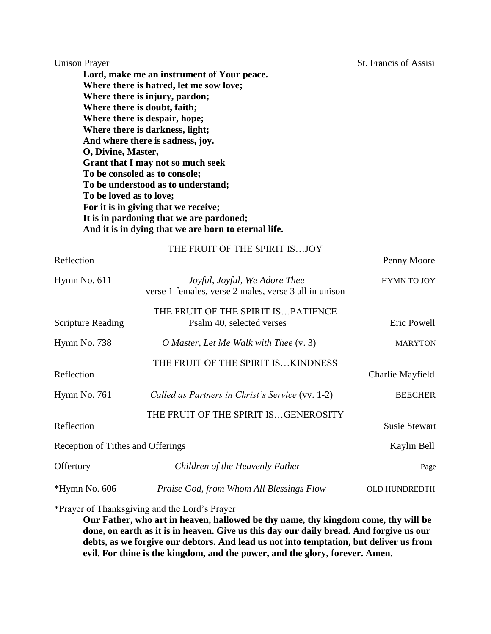| <b>Unison Prayer</b><br>O, Divine, Master,<br>To be loved as to love; | Lord, make me an instrument of Your peace.<br>Where there is hatred, let me sow love;<br>Where there is injury, pardon;<br>Where there is doubt, faith;<br>Where there is despair, hope;<br>Where there is darkness, light;<br>And where there is sadness, joy.<br>Grant that I may not so much seek<br>To be consoled as to console;<br>To be understood as to understand;<br>For it is in giving that we receive;<br>It is in pardoning that we are pardoned;<br>And it is in dying that we are born to eternal life. | St. Francis of Assisi |
|-----------------------------------------------------------------------|-------------------------------------------------------------------------------------------------------------------------------------------------------------------------------------------------------------------------------------------------------------------------------------------------------------------------------------------------------------------------------------------------------------------------------------------------------------------------------------------------------------------------|-----------------------|
| Reflection                                                            | THE FRUIT OF THE SPIRIT ISJOY                                                                                                                                                                                                                                                                                                                                                                                                                                                                                           | Penny Moore           |
| Hymn No. 611                                                          | Joyful, Joyful, We Adore Thee<br>verse 1 females, verse 2 males, verse 3 all in unison                                                                                                                                                                                                                                                                                                                                                                                                                                  | HYMN TO JOY           |
| <b>Scripture Reading</b>                                              | THE FRUIT OF THE SPIRIT ISPATIENCE<br>Psalm 40, selected verses                                                                                                                                                                                                                                                                                                                                                                                                                                                         | Eric Powell           |
| Hymn No. 738                                                          | O Master, Let Me Walk with Thee (v. 3)                                                                                                                                                                                                                                                                                                                                                                                                                                                                                  | <b>MARYTON</b>        |
| Reflection                                                            | THE FRUIT OF THE SPIRIT ISKINDNESS                                                                                                                                                                                                                                                                                                                                                                                                                                                                                      | Charlie Mayfield      |
| Hymn No. 761                                                          | Called as Partners in Christ's Service (vv. 1-2)                                                                                                                                                                                                                                                                                                                                                                                                                                                                        | <b>BEECHER</b>        |
| Reflection                                                            | THE FRUIT OF THE SPIRIT ISGENEROSITY                                                                                                                                                                                                                                                                                                                                                                                                                                                                                    | <b>Susie Stewart</b>  |
| Reception of Tithes and Offerings                                     |                                                                                                                                                                                                                                                                                                                                                                                                                                                                                                                         | Kaylin Bell           |
| Offertory                                                             | Children of the Heavenly Father                                                                                                                                                                                                                                                                                                                                                                                                                                                                                         | Page                  |
| *Hymn No. 606                                                         | Praise God, from Whom All Blessings Flow                                                                                                                                                                                                                                                                                                                                                                                                                                                                                | OLD HUNDREDTH         |

\*Prayer of Thanksgiving and the Lord's Prayer

**Our Father, who art in heaven, hallowed be thy name, thy kingdom come, thy will be done, on earth as it is in heaven. Give us this day our daily bread. And forgive us our debts, as we forgive our debtors. And lead us not into temptation, but deliver us from evil. For thine is the kingdom, and the power, and the glory, forever. Amen.**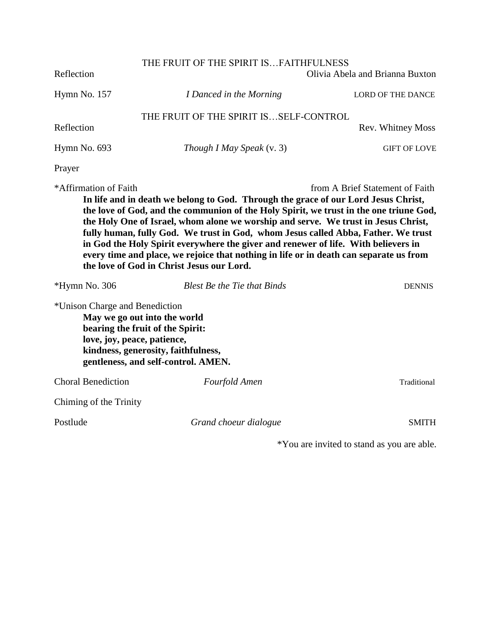|                                                 | THE FRUIT OF THE SPIRIT ISFAITHFULNESS                                                                                                                                                                                                                                                                                                                                                                                                                                                                                                                                               |                                 |
|-------------------------------------------------|--------------------------------------------------------------------------------------------------------------------------------------------------------------------------------------------------------------------------------------------------------------------------------------------------------------------------------------------------------------------------------------------------------------------------------------------------------------------------------------------------------------------------------------------------------------------------------------|---------------------------------|
| Reflection                                      |                                                                                                                                                                                                                                                                                                                                                                                                                                                                                                                                                                                      | Olivia Abela and Brianna Buxton |
| Hymn No. 157                                    | I Danced in the Morning                                                                                                                                                                                                                                                                                                                                                                                                                                                                                                                                                              | LORD OF THE DANCE               |
|                                                 | THE FRUIT OF THE SPIRIT ISSELF-CONTROL                                                                                                                                                                                                                                                                                                                                                                                                                                                                                                                                               |                                 |
| Reflection                                      |                                                                                                                                                                                                                                                                                                                                                                                                                                                                                                                                                                                      | Rev. Whitney Moss               |
| Hymn No. 693                                    | Though I May Speak $(v, 3)$                                                                                                                                                                                                                                                                                                                                                                                                                                                                                                                                                          | <b>GIFT OF LOVE</b>             |
| Prayer                                          |                                                                                                                                                                                                                                                                                                                                                                                                                                                                                                                                                                                      |                                 |
| *Affirmation of Faith                           | In life and in death we belong to God. Through the grace of our Lord Jesus Christ,<br>the love of God, and the communion of the Holy Spirit, we trust in the one triune God,<br>the Holy One of Israel, whom alone we worship and serve. We trust in Jesus Christ,<br>fully human, fully God. We trust in God, whom Jesus called Abba, Father. We trust<br>in God the Holy Spirit everywhere the giver and renewer of life. With believers in<br>every time and place, we rejoice that nothing in life or in death can separate us from<br>the love of God in Christ Jesus our Lord. | from A Brief Statement of Faith |
| *Hymn No. 306<br>*Unison Charge and Benediction | <b>Blest Be the Tie that Binds</b><br>May we go out into the world<br>bearing the fruit of the Spirit:<br>love, joy, peace, patience,<br>kindness, generosity, faithfulness,<br>gentleness, and self-control. AMEN.                                                                                                                                                                                                                                                                                                                                                                  | <b>DENNIS</b>                   |
| <b>Choral Benediction</b>                       | Fourfold Amen                                                                                                                                                                                                                                                                                                                                                                                                                                                                                                                                                                        | Traditional                     |
| Chiming of the Trinity                          |                                                                                                                                                                                                                                                                                                                                                                                                                                                                                                                                                                                      |                                 |
| Postlude                                        | Grand choeur dialogue                                                                                                                                                                                                                                                                                                                                                                                                                                                                                                                                                                | <b>SMITH</b>                    |

\*You are invited to stand as you are able.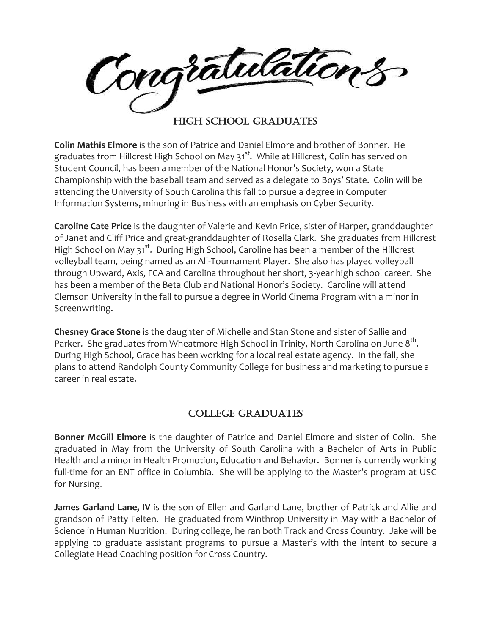

#### High School Graduates

**Colin Mathis Elmore** is the son of Patrice and Daniel Elmore and brother of Bonner. He graduates from Hillcrest High School on May 31<sup>st</sup>. While at Hillcrest, Colin has served on Student Council, has been a member of the National Honor's Society, won a State Championship with the baseball team and served as a delegate to Boys' State. Colin will be attending the University of South Carolina this fall to pursue a degree in Computer Information Systems, minoring in Business with an emphasis on Cyber Security.

**Caroline Cate Price** is the daughter of Valerie and Kevin Price, sister of Harper, granddaughter of Janet and Cliff Price and great-granddaughter of Rosella Clark. She graduates from Hillcrest High School on May 31<sup>st</sup>. During High School, Caroline has been a member of the Hillcrest volleyball team, being named as an All-Tournament Player. She also has played volleyball through Upward, Axis, FCA and Carolina throughout her short, 3-year high school career. She has been a member of the Beta Club and National Honor's Society. Caroline will attend Clemson University in the fall to pursue a degree in World Cinema Program with a minor in Screenwriting.

**Chesney Grace Stone** is the daughter of Michelle and Stan Stone and sister of Sallie and Parker. She graduates from Wheatmore High School in Trinity, North Carolina on June  $8^\mathrm{th}$ . During High School, Grace has been working for a local real estate agency. In the fall, she plans to attend Randolph County Community College for business and marketing to pursue a career in real estate.

### College Graduates

**Bonner McGill Elmore** is the daughter of Patrice and Daniel Elmore and sister of Colin. She graduated in May from the University of South Carolina with a Bachelor of Arts in Public Health and a minor in Health Promotion, Education and Behavior. Bonner is currently working full-time for an ENT office in Columbia. She will be applying to the Master's program at USC for Nursing.

**James Garland Lane, IV** is the son of Ellen and Garland Lane, brother of Patrick and Allie and grandson of Patty Felten. He graduated from Winthrop University in May with a Bachelor of Science in Human Nutrition. During college, he ran both Track and Cross Country. Jake will be applying to graduate assistant programs to pursue a Master's with the intent to secure a Collegiate Head Coaching position for Cross Country.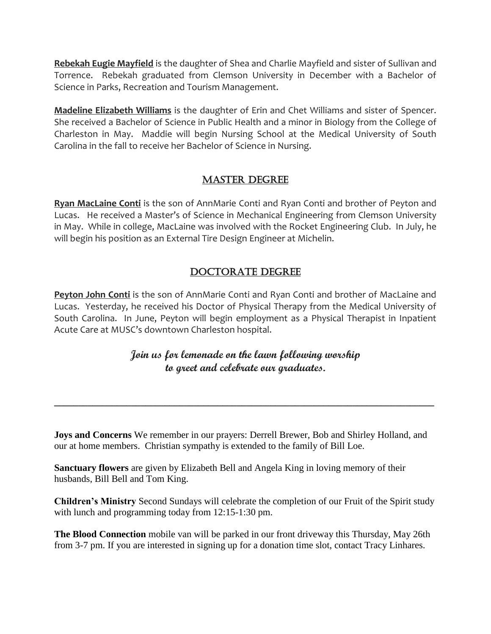**Rebekah Eugie Mayfield** is the daughter of Shea and Charlie Mayfield and sister of Sullivan and Torrence. Rebekah graduated from Clemson University in December with a Bachelor of Science in Parks, Recreation and Tourism Management.

**Madeline Elizabeth Williams** is the daughter of Erin and Chet Williams and sister of Spencer. She received a Bachelor of Science in Public Health and a minor in Biology from the College of Charleston in May. Maddie will begin Nursing School at the Medical University of South Carolina in the fall to receive her Bachelor of Science in Nursing.

### MASTER DEGREE

**Ryan MacLaine Conti** is the son of AnnMarie Conti and Ryan Conti and brother of Peyton and Lucas. He received a Master's of Science in Mechanical Engineering from Clemson University in May. While in college, MacLaine was involved with the Rocket Engineering Club. In July, he will begin his position as an External Tire Design Engineer at Michelin.

## DOCTORATE DEGREE

**Peyton John Conti** is the son of AnnMarie Conti and Ryan Conti and brother of MacLaine and Lucas. Yesterday, he received his Doctor of Physical Therapy from the Medical University of South Carolina. In June, Peyton will begin employment as a Physical Therapist in Inpatient Acute Care at MUSC's downtown Charleston hospital.

## **Join us for lemonade on the lawn following worship to greet and celebrate our graduates.**

**Joys and Concerns** We remember in our prayers: Derrell Brewer, Bob and Shirley Holland, and our at home members. Christian sympathy is extended to the family of Bill Loe.

**\_\_\_\_\_\_\_\_\_\_\_\_\_\_\_\_\_\_\_\_\_\_\_\_\_\_\_\_\_\_\_\_\_\_\_\_\_\_\_\_\_\_\_\_\_\_\_\_\_\_\_\_\_\_\_\_\_\_\_\_\_\_\_\_\_\_\_\_\_\_\_\_\_\_\_\_\_\_\_**

**Sanctuary flowers** are given by Elizabeth Bell and Angela King in loving memory of their husbands, Bill Bell and Tom King.

**Children's Ministry** Second Sundays will celebrate the completion of our Fruit of the Spirit study with lunch and programming today from 12:15-1:30 pm.

**The Blood Connection** mobile van will be parked in our front driveway this Thursday, May 26th from 3-7 pm. If you are interested in signing up for a donation time slot, contact Tracy Linhares.